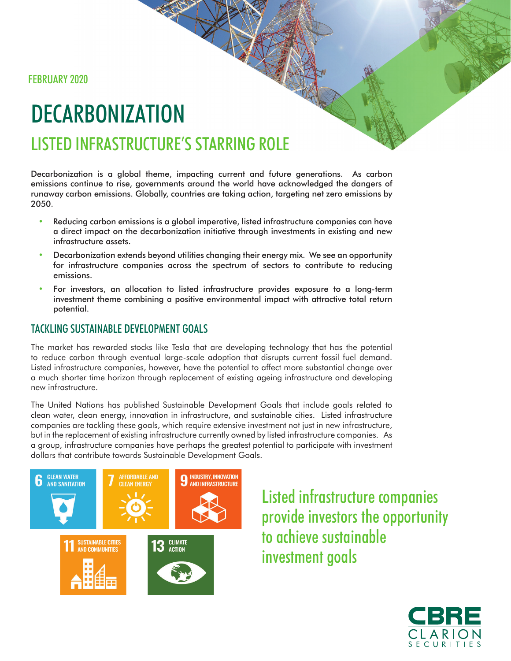FEBRUARY 2020

# DECARBONIZATION LISTED INFRASTRUCTURE'S STARRING ROLE

Decarbonization is a global theme, impacting current and future generations. As carbon emissions continue to rise, governments around the world have acknowledged the dangers of runaway carbon emissions. Globally, countries are taking action, targeting net zero emissions by 2050.

- Reducing carbon emissions is a global imperative, listed infrastructure companies can have a direct impact on the decarbonization initiative through investments in existing and new infrastructure assets.
- Decarbonization extends beyond utilities changing their energy mix. We see an opportunity for infrastructure companies across the spectrum of sectors to contribute to reducing emissions.
- For investors, an allocation to listed infrastructure provides exposure to a long-term investment theme combining a positive environmental impact with attractive total return potential.

## TACKLING SUSTAINABLE DEVELOPMENT GOALS

The market has rewarded stocks like Tesla that are developing technology that has the potential to reduce carbon through eventual large-scale adoption that disrupts current fossil fuel demand. Listed infrastructure companies, however, have the potential to affect more substantial change over a much shorter time horizon through replacement of existing ageing infrastructure and developing new infrastructure.

The United Nations has published Sustainable Development Goals that include goals related to clean water, clean energy, innovation in infrastructure, and sustainable cities. Listed infrastructure companies are tackling these goals, which require extensive investment not just in new infrastructure, but in the replacement of existing infrastructure currently owned by listed infrastructure companies. As a group, infrastructure companies have perhaps the greatest potential to participate with investment dollars that contribute towards Sustainable Development Goals.



Listed infrastructure companies provide investors the opportunity to achieve sustainable investment goals

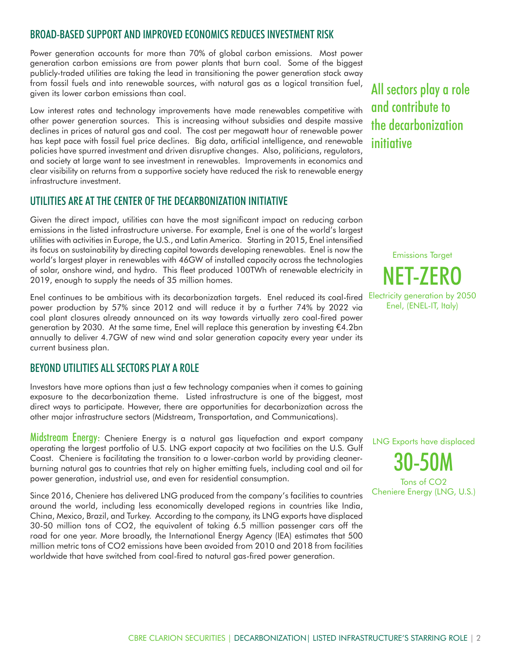### BROAD-BASED SUPPORT AND IMPROVED ECONOMICS REDUCES INVESTMENT RISK

Power generation accounts for more than 70% of global carbon emissions. Most power generation carbon emissions are from power plants that burn coal. Some of the biggest publicly-traded utilities are taking the lead in transitioning the power generation stack away from fossil fuels and into renewable sources, with natural gas as a logical transition fuel, given its lower carbon emissions than coal.

Low interest rates and technology improvements have made renewables competitive with other power generation sources. This is increasing without subsidies and despite massive declines in prices of natural gas and coal. The cost per megawatt hour of renewable power has kept pace with fossil fuel price declines. Big data, artificial intelligence, and renewable policies have spurred investment and driven disruptive changes. Also, politicians, regulators, and society at large want to see investment in renewables. Improvements in economics and clear visibility on returns from a supportive society have reduced the risk to renewable energy infrastructure investment.

#### UTILITIES ARE AT THE CENTER OF THE DECARBONIZATION INITIATIVE

Given the direct impact, utilities can have the most significant impact on reducing carbon emissions in the listed infrastructure universe. For example, Enel is one of the world's largest utilities with activities in Europe, the U.S., and Latin America. Starting in 2015, Enel intensified its focus on sustainability by directing capital towards developing renewables. Enel is now the world's largest player in renewables with 46GW of installed capacity across the technologies of solar, onshore wind, and hydro. This fleet produced 100TWh of renewable electricity in 2019, enough to supply the needs of 35 million homes.

Enel continues to be ambitious with its decarbonization targets. Enel reduced its coal-fired Electricity generation by 2050 power production by 57% since 2012 and will reduce it by a further 74% by 2022 via coal plant closures already announced on its way towards virtually zero coal-fired power generation by 2030. At the same time, Enel will replace this generation by investing €4.2bn annually to deliver 4.7GW of new wind and solar generation capacity every year under its current business plan.

### BEYOND UTILITIES ALL SECTORS PLAY A ROLE

Investors have more options than just a few technology companies when it comes to gaining exposure to the decarbonization theme. Listed infrastructure is one of the biggest, most direct ways to participate. However, there are opportunities for decarbonization across the other major infrastructure sectors (Midstream, Transportation, and Communications).

Midstream Energy: Cheniere Energy is a natural gas liquefaction and export company operating the largest portfolio of U.S. LNG export capacity at two facilities on the U.S. Gulf Coast. Cheniere is facilitating the transition to a lower-carbon world by providing cleanerburning natural gas to countries that rely on higher emitting fuels, including coal and oil for power generation, industrial use, and even for residential consumption.

Since 2016, Cheniere has delivered LNG produced from the company's facilities to countries around the world, including less economically developed regions in countries like India, China, Mexico, Brazil, and Turkey. According to the company, its LNG exports have displaced 30-50 million tons of CO2, the equivalent of taking 6.5 million passenger cars off the road for one year. More broadly, the International Energy Agency (IEA) estimates that 500 million metric tons of CO2 emissions have been avoided from 2010 and 2018 from facilities worldwide that have switched from coal-fired to natural gas-fired power generation.

All sectors play a role and contribute to the decarbonization **initiative** 

Emissions Target NET-ZERO Enel, (ENEL-IT, Italy)

LNG Exports have displaced 30-50M Tons of CO2 Cheniere Energy (LNG, U.S.)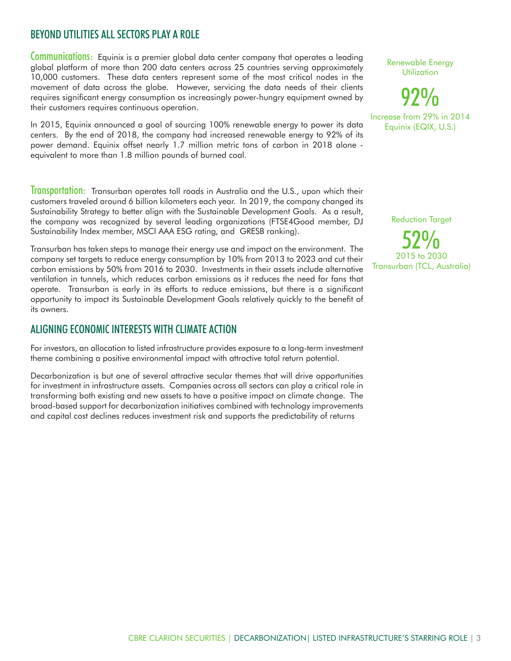## BEYOND UTILITIES ALL SECTORS PLAY A ROLE

Communications: Equinix is a premier global data center company that operates a leading global platform of more than 200 data centers across 25 countries serving approximately 10,000 customers. These data centers represent some of the most critical nodes in the movement of data across the globe. However, servicing the data needs of their clients requires significant energy consumption as increasingly power-hungry equipment owned by their customers requires continuous operation.

In 2015, Equinix announced a goal of sourcing 100% renewable energy to power its data centers. By the end of 2018, the company had increased renewable energy to 92% of its power demand. Equinix offset nearly 1.7 million metric tons of carbon in 2018 alone equivalent to more than 1.8 million pounds of burned coal.

Transportation: Transurban operates toll roads in Australia and the U.S., upon which their customers traveled around 6 billion kilometers each year. In 2019, the company changed its Sustainability Strategy to better align with the Sustainable Development Goals. As a result, the company was recognized by several leading organizations (FTSE4Good member, DJ Sustainability Index member, MSCI AAA ESG rating, and GRESB ranking).

Transurban has taken steps to manage their energy use and impact on the environment. The company set targets to reduce energy consumption by 10% from 2013 to 2023 and cut their carbon emissions by 50% from 2016 to 2030. Investments in their assets include alternative ventilation in tunnels, which reduces carbon emissions as it reduces the need for fans that operate. Transurban is early in its efforts to reduce emissions, but there is a significant opportunity to impact its Sustainable Development Goals relatively quickly to the benefit of its owners.

#### ALIGNING ECONOMIC INTERESTS WITH CLIMATE ACTION

For investors, an allocation to listed infrastructure provides exposure to a long-term investment theme combining a positive environmental impact with attractive total return potential.

Decarbonization is but one of several attractive secular themes that will drive opportunities for investment in infrastructure assets. Companies across all sectors can play a critical role in transforming both existing and new assets to have a positive impact on climate change. The broad-based support for decarbonization initiatives combined with technology improvements and capital cost declines reduces investment risk and supports the predictability of returns

Renewable Energy **Utilization** 

92% Increase from 29% in 2014

Equinix (EQIX, U.S.)

Reduction Target

52% 2015 to 2030 Transurban (TCL, Australia)